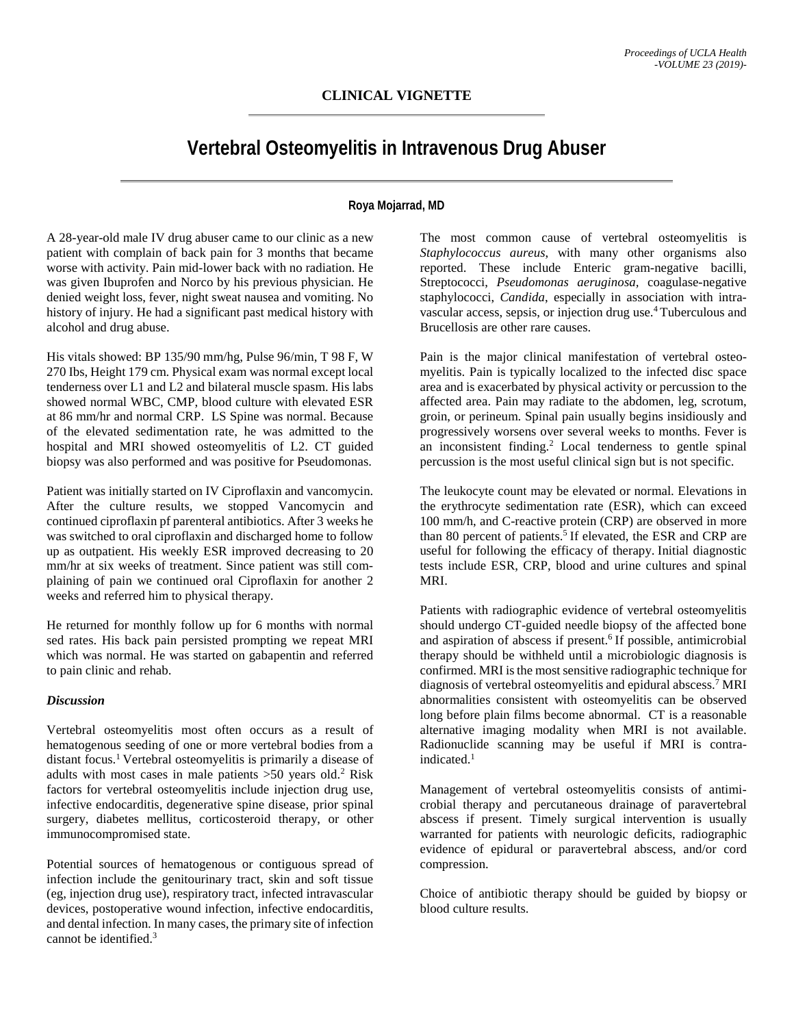# **Vertebral Osteomyelitis in Intravenous Drug Abuser**

## **Roya Mojarrad, MD**

A 28-year-old male IV drug abuser came to our clinic as a new patient with complain of back pain for 3 months that became worse with activity. Pain mid-lower back with no radiation. He was given Ibuprofen and Norco by his previous physician. He denied weight loss, fever, night sweat nausea and vomiting. No history of injury. He had a significant past medical history with alcohol and drug abuse.

His vitals showed: BP 135/90 mm/hg, Pulse 96/min, T 98 F, W 270 Ibs, Height 179 cm. Physical exam was normal except local tenderness over L1 and L2 and bilateral muscle spasm. His labs showed normal WBC, CMP, blood culture with elevated ESR at 86 mm/hr and normal CRP. LS Spine was normal. Because of the elevated sedimentation rate, he was admitted to the hospital and MRI showed osteomyelitis of L2. CT guided biopsy was also performed and was positive for Pseudomonas.

Patient was initially started on IV Ciproflaxin and vancomycin. After the culture results, we stopped Vancomycin and continued ciproflaxin pf parenteral antibiotics. After 3 weeks he was switched to oral ciproflaxin and discharged home to follow up as outpatient. His weekly ESR improved decreasing to 20 mm/hr at six weeks of treatment. Since patient was still complaining of pain we continued oral Ciproflaxin for another 2 weeks and referred him to physical therapy.

He returned for monthly follow up for 6 months with normal sed rates. His back pain persisted prompting we repeat MRI which was normal. He was started on gabapentin and referred to pain clinic and rehab.

#### *Discussion*

Vertebral osteomyelitis most often occurs as a result of hematogenous seeding of one or more vertebral bodies from a distant focus.1 Vertebral osteomyelitis is primarily a disease of adults with most cases in male patients >50 years old. <sup>2</sup> Risk factors for vertebral osteomyelitis include injection drug use, infective endocarditis, degenerative spine disease, prior spinal surgery, diabetes mellitus, corticosteroid therapy, or other immunocompromised state.

Potential sources of hematogenous or contiguous spread of infection include the genitourinary tract, skin and soft tissue (eg, injection drug use), respiratory tract, infected intravascular devices, postoperative wound infection, infective endocarditis, and dental infection. In many cases, the primary site of infection cannot be identified.3

The most common cause of vertebral osteomyelitis is *Staphylococcus aureus*, with many other organisms also reported. These include Enteric gram-negative bacilli, Streptococci, *Pseudomonas aeruginosa,* coagulase-negative staphylococci, *Candida*, especially in association with intravascular access, sepsis, or injection drug use. <sup>4</sup> Tuberculous and Brucellosis are other rare causes.

Pain is the major clinical manifestation of vertebral osteomyelitis. Pain is typically localized to the infected disc space area and is exacerbated by physical activity or percussion to the affected area. Pain may radiate to the abdomen, leg, scrotum, groin, or perineum. Spinal pain usually begins insidiously and progressively worsens over several weeks to months. Fever is an inconsistent finding. <sup>2</sup> Local tenderness to gentle spinal percussion is the most useful clinical sign but is not specific.

The leukocyte count may be elevated or normal. Elevations in the erythrocyte sedimentation rate (ESR), which can exceed 100 mm/h, and C-reactive protein (CRP) are observed in more than 80 percent of patients. <sup>5</sup> If elevated, the ESR and CRP are useful for following the efficacy of therapy. Initial diagnostic tests include ESR, CRP, blood and urine cultures and spinal MRI.

Patients with radiographic evidence of vertebral osteomyelitis should undergo CT-guided needle biopsy of the affected bone and aspiration of abscess if present.<sup>6</sup> If possible, antimicrobial therapy should be withheld until a microbiologic diagnosis is confirmed. MRI is the most sensitive radiographic technique for diagnosis of vertebral osteomyelitis and epidural abscess.7 MRI abnormalities consistent with osteomyelitis can be observed long before plain films become abnormal. CT is a reasonable alternative imaging modality when MRI is not available. Radionuclide scanning may be useful if MRI is contraindicated. 1

Management of vertebral osteomyelitis consists of antimicrobial therapy and percutaneous drainage of paravertebral abscess if present. Timely surgical intervention is usually warranted for patients with neurologic deficits, radiographic evidence of epidural or paravertebral abscess, and/or cord compression.

Choice of antibiotic therapy should be guided by biopsy or blood culture results.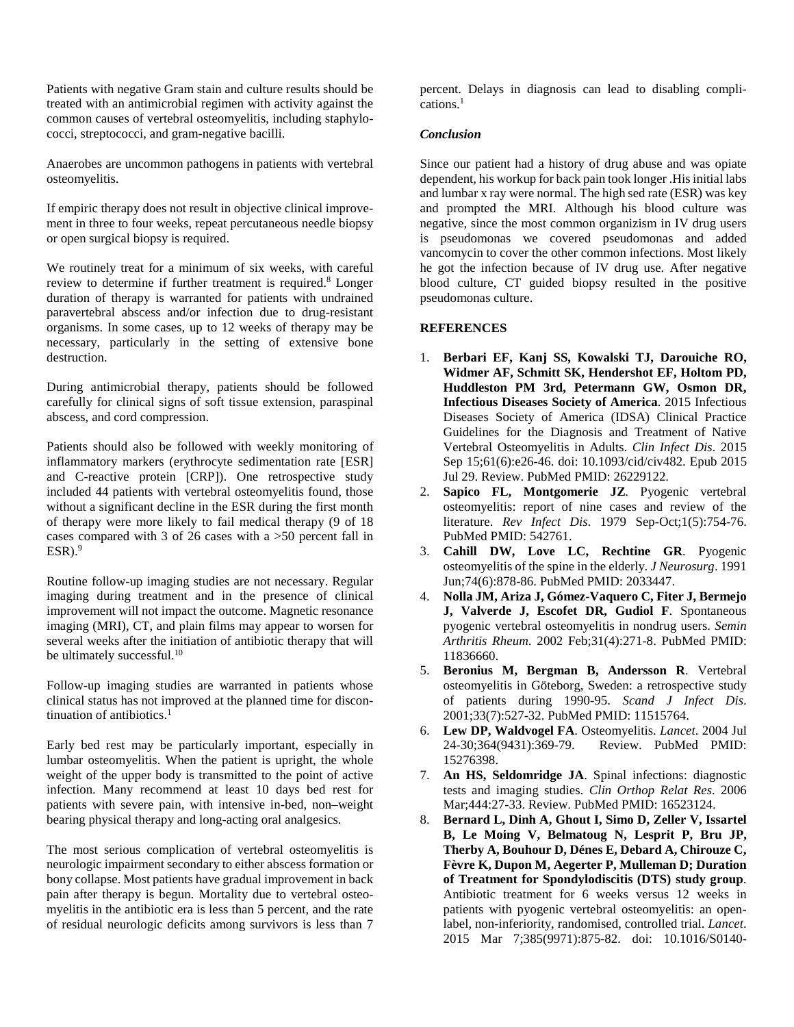Patients with negative Gram stain and culture results should be treated with an antimicrobial regimen with activity against the common causes of vertebral osteomyelitis, including staphylococci, streptococci, and gram-negative bacilli.

Anaerobes are uncommon pathogens in patients with vertebral osteomyelitis.

If empiric therapy does not result in objective clinical improvement in three to four weeks, repeat percutaneous needle biopsy or open surgical biopsy is required.

We routinely treat for a minimum of six weeks, with careful review to determine if further treatment is required.<sup>8</sup> Longer duration of therapy is warranted for patients with undrained paravertebral abscess and/or infection due to drug-resistant organisms. In some cases, up to 12 weeks of therapy may be necessary, particularly in the setting of extensive bone destruction.

During antimicrobial therapy, patients should be followed carefully for clinical signs of soft tissue extension, paraspinal abscess, and cord compression.

Patients should also be followed with weekly monitoring of inflammatory markers (erythrocyte sedimentation rate [ESR] and C-reactive protein [CRP]). One retrospective study included 44 patients with vertebral osteomyelitis found, those without a significant decline in the ESR during the first month of therapy were more likely to fail medical therapy (9 of 18 cases compared with 3 of 26 cases with a >50 percent fall in  $ESR$ ).<sup>9</sup>

Routine follow-up imaging studies are not necessary. Regular imaging during treatment and in the presence of clinical improvement will not impact the outcome. Magnetic resonance imaging (MRI), CT, and plain films may appear to worsen for several weeks after the initiation of antibiotic therapy that will be ultimately successful.<sup>10</sup>

Follow-up imaging studies are warranted in patients whose clinical status has not improved at the planned time for discontinuation of antibiotics. 1

Early bed rest may be particularly important, especially in lumbar osteomyelitis. When the patient is upright, the whole weight of the upper body is transmitted to the point of active infection. Many recommend at least 10 days bed rest for patients with severe pain, with intensive in-bed, non–weight bearing physical therapy and long-acting oral analgesics.

The most serious complication of vertebral osteomyelitis is neurologic impairment secondary to either abscess formation or bony collapse. Most patients have gradual improvement in back pain after therapy is begun. Mortality due to vertebral osteomyelitis in the antibiotic era is less than 5 percent, and the rate of residual neurologic deficits among survivors is less than 7

percent. Delays in diagnosis can lead to disabling complications. 1

### *Conclusion*

Since our patient had a history of drug abuse and was opiate dependent, his workup for back pain took longer .His initial labs and lumbar x ray were normal. The high sed rate (ESR) was key and prompted the MRI. Although his blood culture was negative, since the most common organizism in IV drug users is pseudomonas we covered pseudomonas and added vancomycin to cover the other common infections. Most likely he got the infection because of IV drug use. After negative blood culture, CT guided biopsy resulted in the positive pseudomonas culture.

## **REFERENCES**

- 1. **Berbari EF, Kanj SS, Kowalski TJ, Darouiche RO, Widmer AF, Schmitt SK, Hendershot EF, Holtom PD, Huddleston PM 3rd, Petermann GW, Osmon DR, Infectious Diseases Society of America**. 2015 Infectious Diseases Society of America (IDSA) Clinical Practice Guidelines for the Diagnosis and Treatment of Native Vertebral Osteomyelitis in Adults. *Clin Infect Dis*. 2015 Sep 15;61(6):e26-46. doi: 10.1093/cid/civ482. Epub 2015 Jul 29. Review. PubMed PMID: 26229122.
- 2. **Sapico FL, Montgomerie JZ**. Pyogenic vertebral osteomyelitis: report of nine cases and review of the literature. *Rev Infect Dis*. 1979 Sep-Oct;1(5):754-76. PubMed PMID: 542761.
- 3. **Cahill DW, Love LC, Rechtine GR**. Pyogenic osteomyelitis of the spine in the elderly. *J Neurosurg*. 1991 Jun;74(6):878-86. PubMed PMID: 2033447.
- 4. **Nolla JM, Ariza J, Gómez-Vaquero C, Fiter J, Bermejo J, Valverde J, Escofet DR, Gudiol F**. Spontaneous pyogenic vertebral osteomyelitis in nondrug users. *Semin Arthritis Rheum*. 2002 Feb;31(4):271-8. PubMed PMID: 11836660.
- 5. **Beronius M, Bergman B, Andersson R**. Vertebral osteomyelitis in Göteborg, Sweden: a retrospective study of patients during 1990-95. *Scand J Infect Dis*. 2001;33(7):527-32. PubMed PMID: 11515764.
- 6. **Lew DP, Waldvogel FA**. Osteomyelitis. *Lancet*. 2004 Jul 24-30;364(9431):369-79. Review. PubMed PMID: 15276398.
- 7. **An HS, Seldomridge JA**. Spinal infections: diagnostic tests and imaging studies. *Clin Orthop Relat Res*. 2006 Mar;444:27-33. Review. PubMed PMID: 16523124.
- 8. **Bernard L, Dinh A, Ghout I, Simo D, Zeller V, Issartel B, Le Moing V, Belmatoug N, Lesprit P, Bru JP, Therby A, Bouhour D, Dénes E, Debard A, Chirouze C, Fèvre K, Dupon M, Aegerter P, Mulleman D; Duration of Treatment for Spondylodiscitis (DTS) study group**. Antibiotic treatment for 6 weeks versus 12 weeks in patients with pyogenic vertebral osteomyelitis: an openlabel, non-inferiority, randomised, controlled trial. *Lancet*. 2015 Mar 7;385(9971):875-82. doi: 10.1016/S0140-